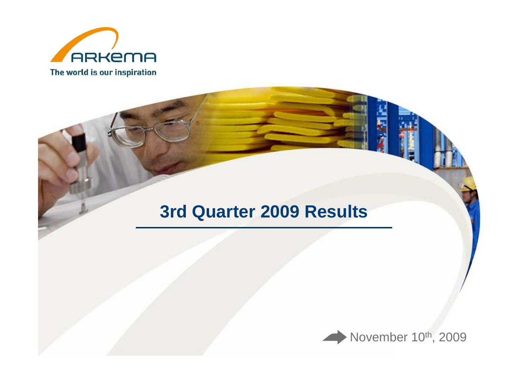

## **3rd Quarter 2009 Results**

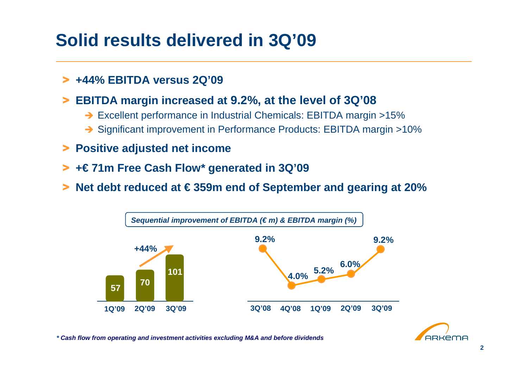## **Solid results delivered in 3Q'09**

## > **+44% EBITDA versus 2Q'09**

- > **EBITDA margin increased at 9.2%, at the level of 3Q'08**
	- → Excellent performance in Industrial Chemicals: EBITDA margin >15%
	- → Significant improvement in Performance Products: EBITDA margin >10%
- > **Positive adjusted net income**
- > **+€ 71m Free Cash Flow\* generated in 3Q'09**
- >**Net debt reduced at € 359m end of September and gearing at 20%**





**\* Cash flow from operating and investment activities excluding M&A and before dividends**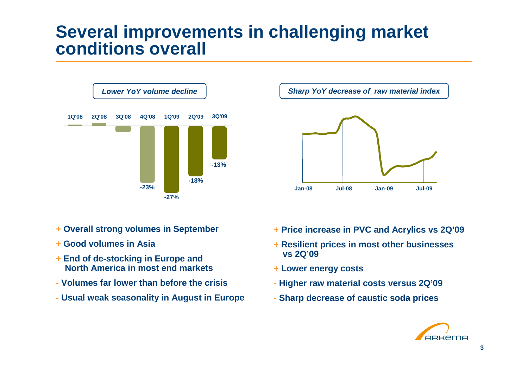### **Several improvements in challenging market conditions overall**



- **+ Overall strong volumes in September**
- **+ Good volumes in Asia**
- **+ End of de-stocking in Europe and North America in most end markets**
- **- Volumes far lower than before the crisis**
- **- Usual weak seasonality in August in Europe**



- **+ Price increase in PVC and Acrylics vs 2Q'09**
- **+ Resilient prices in most other businesses vs 2Q'09**
- **+ Lower energy costs**
- **- Higher raw material costs versus 2Q'09**
- **- Sharp decrease of caustic soda prices**

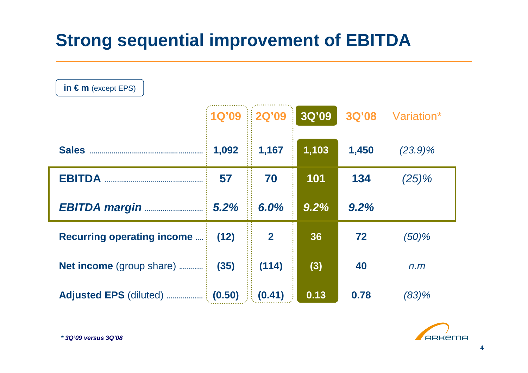# **Strong sequential improvement of EBITDA**

| in $\epsilon$ m (except EPS)       |        |              |       |       |                  |  |  |  |
|------------------------------------|--------|--------------|-------|-------|------------------|--|--|--|
|                                    |        | 1Q'09 2Q'09  | 3Q'09 |       | 3Q'08 Variation* |  |  |  |
| <b>Sales</b>                       | 1,092  | 1,167        | 1,103 | 1,450 | $(23.9)\%$       |  |  |  |
| <b>EBITDA</b>                      | 57     | 70           | 101   | 134   | $(25)\%$         |  |  |  |
| <b>EBITDA margin </b>              | 5.2%   | 6.0%         | 9.2%  | 9.2%  |                  |  |  |  |
| <b>Recurring operating income </b> | (12)   | $\mathbf{2}$ | 36    | 72    | $(50)$ %         |  |  |  |
| <b>Net income</b> (group share)    | (35)   | (114)        | (3)   | 40    | n.m              |  |  |  |
|                                    | (0.50) | (0.41)       | 0.13  | 0.78  | (83)%            |  |  |  |

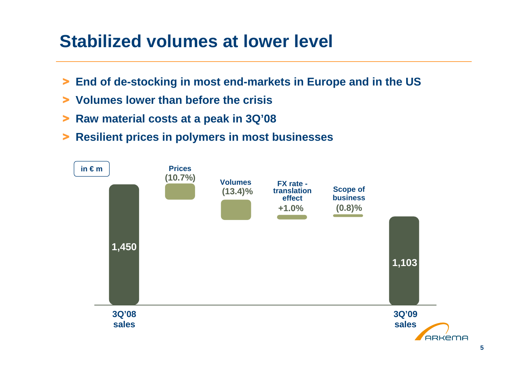## **Stabilized volumes at lower level**

- > **End of de-stocking in most end-markets in Europe and in the US**
- > **Volumes lower than before the crisis**
- > **Raw material costs at a peak in 3Q'08**
- > **Resilient prices in polymers in most businesses**

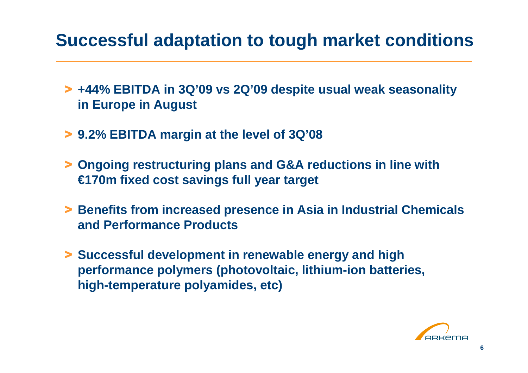## **Successful adaptation to tough market conditions**

- > **+44% EBITDA in 3Q'09 vs 2Q'09 despite usual weak seasonality in Europe in August**
- > **9.2% EBITDA margin at the level of 3Q'08**
- > **Ongoing restructuring plans and G&A reductions in line with €170m fixed cost savings full year target**
- > **Benefits from increased presence in Asia in Industrial Chemicals and Performance Products**
- > **Successful development in renewable energy and high performance polymers (photovoltaic, lithium-ion batteries, high-temperature polyamides, etc)**

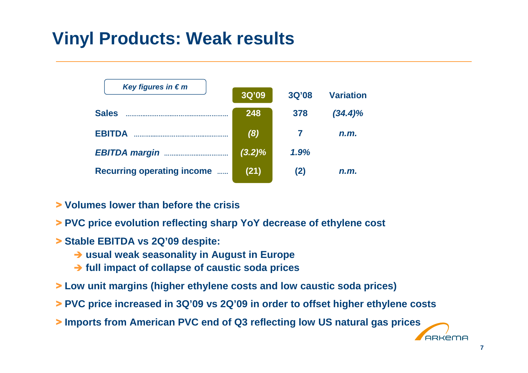## **Vinyl Products: Weak results**

| Key figures in $\epsilon$ m                      | 3Q'09     | <b>3Q'08</b> | <b>Variation</b> |
|--------------------------------------------------|-----------|--------------|------------------|
| <b>Sales</b>                                     | 248       | 378          | $(34.4)\%$       |
| <b>EBITDA</b>                                    | (8)       |              | n.m.             |
| <b>EBITDA margin</b>                             | $(3.2)\%$ | 1.9%         |                  |
| <b>Recurring operating income</b><br>$\sim 1000$ | (21)      | (2)          | n.m.             |

- > **Volumes lower than before the crisis**
- > **PVC price evolution reflecting sharp YoY decrease of ethylene cost**
- > **Stable EBITDA vs 2Q'09 despite:** 
	- **usual weak seasonality in August in Europe**
	- $→$  **full impact of collapse of caustic soda prices**
- > **Low unit margins (higher ethylene costs and low caustic soda prices)**
- > **PVC price increased in 3Q'09 vs 2Q'09 in order to offset higher ethylene costs**
- > **Imports from American PVC end of Q3 reflecting low US natural gas prices**

**ARKEMA**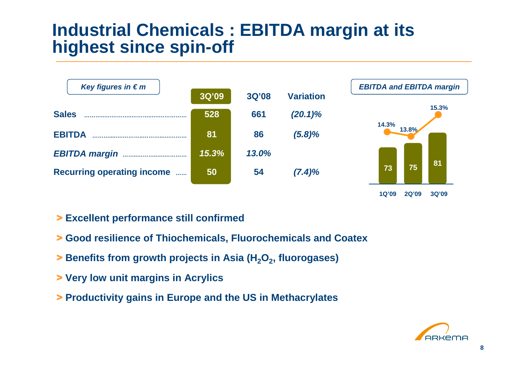## **Industrial Chemicals : EBITDA margin at its highest since spin-off**





- > **Excellent performance still confirmed**
- > **Good resilience of Thiochemicals, Fluorochemicals and Coatex**
- > **Benefits from growth projects in Asia (H2O<sup>2</sup>, fluorogases)**
- > **Very low unit margins in Acrylics**
- > **Productivity gains in Europe and the US in Methacrylates**

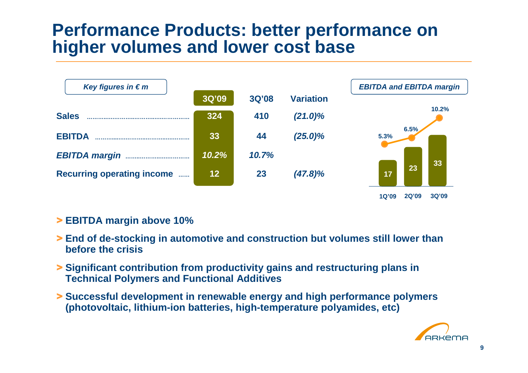## **Performance Products: better performance on higher volumes and lower cost base**



#### > **EBITDA margin above 10%**

- > **End of de-stocking in automotive and construction but volumes still lower than before the crisis**
- > **Significant contribution from productivity gains and restructuring plans in Technical Polymers and Functional Additives**
- > **Successful development in renewable energy and high performance polymers (photovoltaic, lithium-ion batteries, high-temperature polyamides, etc)**

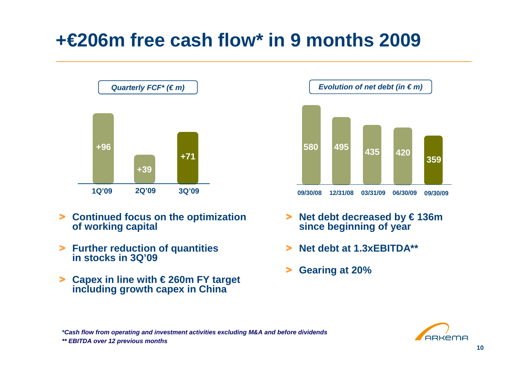# **+€206m free cash flow\* in 9 months 2009**



- > **Continued focus on the optimization of working capital**
- > **Further reduction of quantities in stocks in 3Q'09**
- > **Capex in line with € 260m FY target including growth capex in China**



- > **Net debt decreased by € 136m since beginning of year**
- >**Net debt at 1.3xEBITDA\*\***
- >**Gearing at 20%**



**\*Cash flow from operating and investment activities excluding M&A and before dividends\*\* EBITDA over 12 previous months**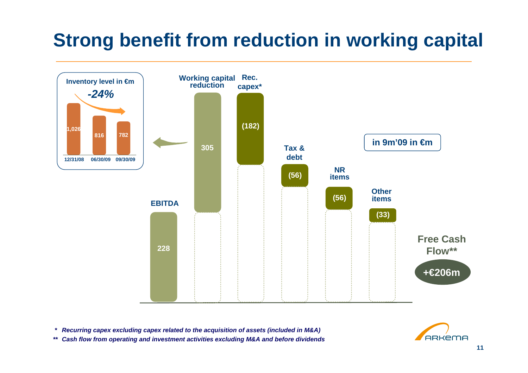# **Strong benefit from reduction in working capital**



**\* Recurring capex excluding capex related to the acquisition of assets (included in M&A)**

**\*\* Cash flow from operating and investment activities excluding M&A and before dividends**

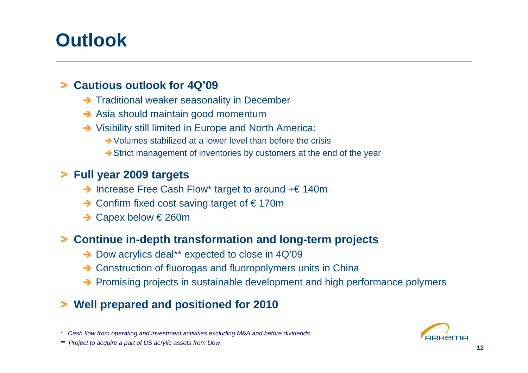# **Outlook**

### > **Cautious outlook for 4Q'09**

- Traditional weaker seasonality in December
- Asia should maintain good momentum
- Visibility still limited in Europe and North America:
	- **→ Volumes stabilized at a lower level than before the crisis**
	- $\rightarrow$  Strict management of inventories by customers at the end of the year

### > **Full year 2009 targets**

- → Increase Free Cash Flow\* target to around +€ 140m
- → Confirm fixed cost saving target of € 170m
- → Capex below € 260m

## > **Continue in-depth transformation and long-term projects**

- → Dow acrylics deal\*\* expected to close in 4Q'09
- → Construction of fluorogas and fluoropolymers units in China<br>
No Premising arciects in custoinable development and bigh act
- → Promising projects in sustainable development and high performance polymers

## > **Well prepared and positioned for 2010**

\* Cash flow from operating and investment activities excluding M&A and before dividends



\*\* Project to acquire a part of US acrylic assets from Dow